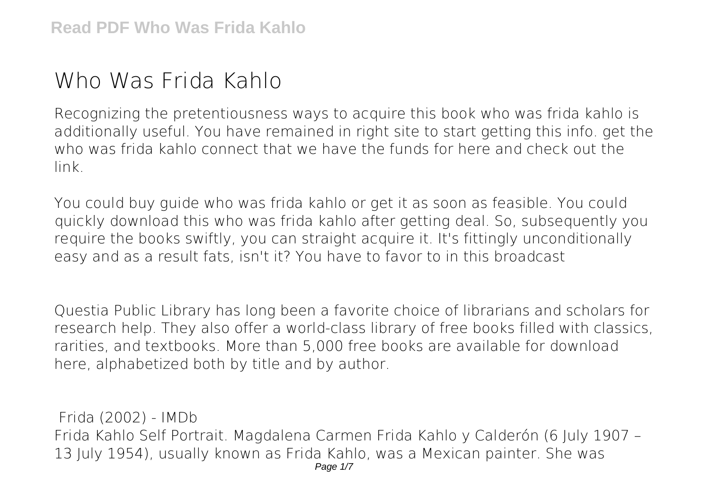## **Who Was Frida Kahlo**

Recognizing the pretentiousness ways to acquire this book **who was frida kahlo** is additionally useful. You have remained in right site to start getting this info. get the who was frida kahlo connect that we have the funds for here and check out the link.

You could buy guide who was frida kahlo or get it as soon as feasible. You could quickly download this who was frida kahlo after getting deal. So, subsequently you require the books swiftly, you can straight acquire it. It's fittingly unconditionally easy and as a result fats, isn't it? You have to favor to in this broadcast

Questia Public Library has long been a favorite choice of librarians and scholars for research help. They also offer a world-class library of free books filled with classics, rarities, and textbooks. More than 5,000 free books are available for download here, alphabetized both by title and by author.

**Frida (2002) - IMDb** Frida Kahlo Self Portrait. Magdalena Carmen Frida Kahlo y Calderón (6 July 1907 – 13 July 1954), usually known as Frida Kahlo, was a Mexican painter. She was Page 1/7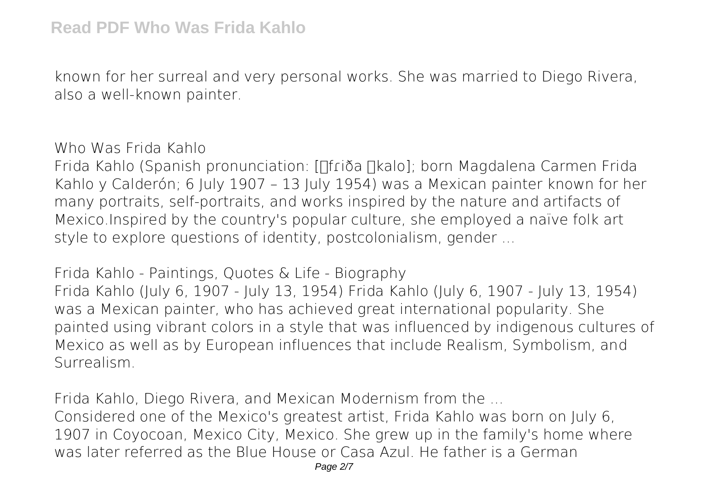known for her surreal and very personal works. She was married to Diego Rivera, also a well-known painter.

**Who Was Frida Kahlo**

Frida Kahlo (Spanish pronunciation: [nriða nkalo]; born Magdalena Carmen Frida Kahlo y Calderón; 6 July 1907 – 13 July 1954) was a Mexican painter known for her many portraits, self-portraits, and works inspired by the nature and artifacts of Mexico.Inspired by the country's popular culture, she employed a naïve folk art style to explore questions of identity, postcolonialism, gender ...

**Frida Kahlo - Paintings, Quotes & Life - Biography** Frida Kahlo (July 6, 1907 - July 13, 1954) Frida Kahlo (July 6, 1907 - July 13, 1954) was a Mexican painter, who has achieved great international popularity. She painted using vibrant colors in a style that was influenced by indigenous cultures of Mexico as well as by European influences that include Realism, Symbolism, and Surrealism.

**Frida Kahlo, Diego Rivera, and Mexican Modernism from the ...** Considered one of the Mexico's greatest artist, Frida Kahlo was born on July 6, 1907 in Coyocoan, Mexico City, Mexico. She grew up in the family's home where was later referred as the Blue House or Casa Azul. He father is a German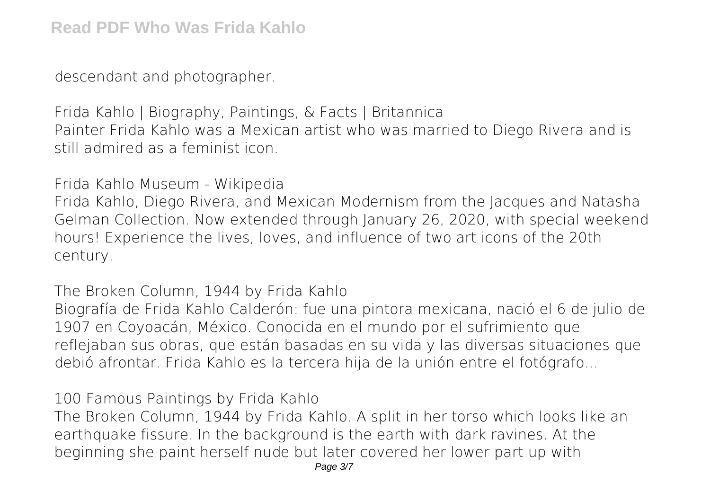descendant and photographer.

**Frida Kahlo | Biography, Paintings, & Facts | Britannica** Painter Frida Kahlo was a Mexican artist who was married to Diego Rivera and is still admired as a feminist icon.

**Frida Kahlo Museum - Wikipedia**

Frida Kahlo, Diego Rivera, and Mexican Modernism from the Jacques and Natasha Gelman Collection. Now extended through January 26, 2020, with special weekend hours! Experience the lives, loves, and influence of two art icons of the 20th century.

**The Broken Column, 1944 by Frida Kahlo**

Biografía de Frida Kahlo Calderón: fue una pintora mexicana, nació el 6 de julio de 1907 en Coyoacán, México. Conocida en el mundo por el sufrimiento que reflejaban sus obras, que están basadas en su vida y las diversas situaciones que debió afrontar. Frida Kahlo es la tercera hija de la unión entre el fotógrafo...

**100 Famous Paintings by Frida Kahlo**

The Broken Column, 1944 by Frida Kahlo. A split in her torso which looks like an earthquake fissure. In the background is the earth with dark ravines. At the beginning she paint herself nude but later covered her lower part up with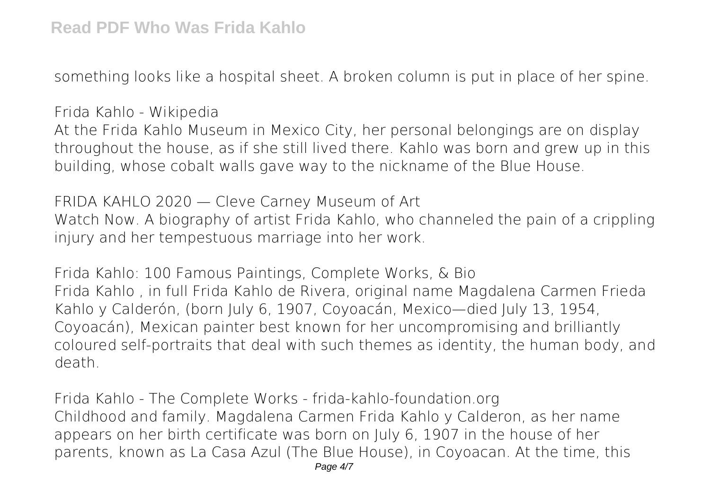something looks like a hospital sheet. A broken column is put in place of her spine.

**Frida Kahlo - Wikipedia**

At the Frida Kahlo Museum in Mexico City, her personal belongings are on display throughout the house, as if she still lived there. Kahlo was born and grew up in this building, whose cobalt walls gave way to the nickname of the Blue House.

**FRIDA KAHLO 2020 — Cleve Carney Museum of Art** Watch Now. A biography of artist Frida Kahlo, who channeled the pain of a crippling injury and her tempestuous marriage into her work.

**Frida Kahlo: 100 Famous Paintings, Complete Works, & Bio** Frida Kahlo , in full Frida Kahlo de Rivera, original name Magdalena Carmen Frieda Kahlo y Calderón, (born July 6, 1907, Coyoacán, Mexico—died July 13, 1954, Coyoacán), Mexican painter best known for her uncompromising and brilliantly coloured self-portraits that deal with such themes as identity, the human body, and death.

**Frida Kahlo - The Complete Works - frida-kahlo-foundation.org** Childhood and family. Magdalena Carmen Frida Kahlo y Calderon, as her name appears on her birth certificate was born on July 6, 1907 in the house of her parents, known as La Casa Azul (The Blue House), in Coyoacan. At the time, this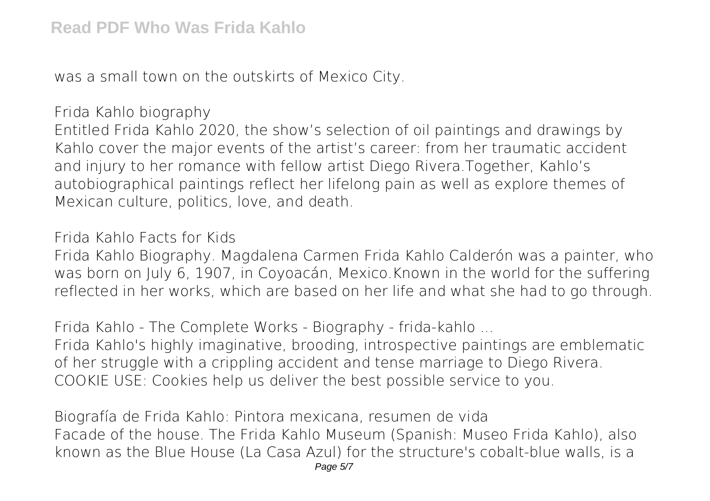was a small town on the outskirts of Mexico City.

**Frida Kahlo biography**

Entitled Frida Kahlo 2020, the show's selection of oil paintings and drawings by Kahlo cover the major events of the artist's career: from her traumatic accident and injury to her romance with fellow artist Diego Rivera.Together, Kahlo's autobiographical paintings reflect her lifelong pain as well as explore themes of Mexican culture, politics, love, and death.

**Frida Kahlo Facts for Kids**

Frida Kahlo Biography. Magdalena Carmen Frida Kahlo Calderón was a painter, who was born on July 6, 1907, in Coyoacán, Mexico.Known in the world for the suffering reflected in her works, which are based on her life and what she had to go through.

**Frida Kahlo - The Complete Works - Biography - frida-kahlo ...**

Frida Kahlo's highly imaginative, brooding, introspective paintings are emblematic of her struggle with a crippling accident and tense marriage to Diego Rivera. COOKIE USE: Cookies help us deliver the best possible service to you.

**Biografía de Frida Kahlo: Pintora mexicana, resumen de vida** Facade of the house. The Frida Kahlo Museum (Spanish: Museo Frida Kahlo), also known as the Blue House (La Casa Azul) for the structure's cobalt-blue walls, is a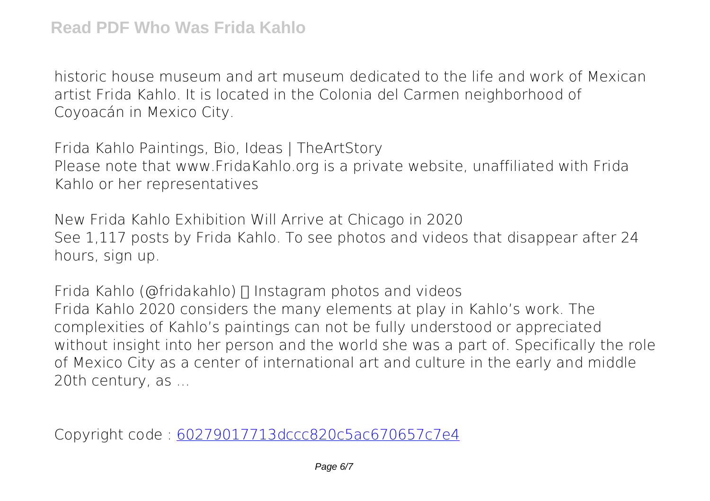historic house museum and art museum dedicated to the life and work of Mexican artist Frida Kahlo. It is located in the Colonia del Carmen neighborhood of Coyoacán in Mexico City.

**Frida Kahlo Paintings, Bio, Ideas | TheArtStory** Please note that www.FridaKahlo.org is a private website, unaffiliated with Frida Kahlo or her representatives

**New Frida Kahlo Exhibition Will Arrive at Chicago in 2020** See 1,117 posts by Frida Kahlo. To see photos and videos that disappear after 24 hours, sign up.

**Frida Kahlo (@fridakahlo)**  $\Box$  Instagram photos and videos Frida Kahlo 2020 considers the many elements at play in Kahlo's work. The complexities of Kahlo's paintings can not be fully understood or appreciated without insight into her person and the world she was a part of. Specifically the role of Mexico City as a center of international art and culture in the early and middle 20th century, as ...

Copyright code : [60279017713dccc820c5ac670657c7e4](/search-book/60279017713dccc820c5ac670657c7e4)